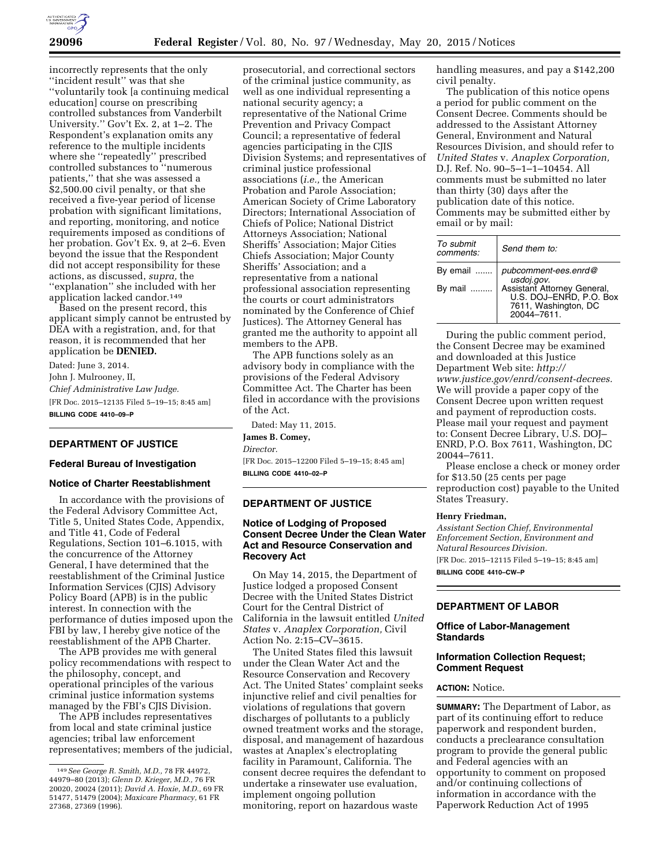

incorrectly represents that the only ''incident result'' was that she ''voluntarily took [a continuing medical education] course on prescribing controlled substances from Vanderbilt University.'' Gov't Ex. 2, at 1–2. The Respondent's explanation omits any reference to the multiple incidents where she ''repeatedly'' prescribed controlled substances to ''numerous patients,'' that she was assessed a \$2,500.00 civil penalty, or that she received a five-year period of license probation with significant limitations, and reporting, monitoring, and notice requirements imposed as conditions of her probation. Gov't Ex. 9, at 2–6. Even beyond the issue that the Respondent did not accept responsibility for these actions, as discussed, *supra,* the ''explanation'' she included with her application lacked candor.149

Based on the present record, this applicant simply cannot be entrusted by DEA with a registration, and, for that reason, it is recommended that her application be **DENIED.** 

Dated: June 3, 2014. John J. Mulrooney, II, *Chief Administrative Law Judge.*  [FR Doc. 2015–12135 Filed 5–19–15; 8:45 am] **BILLING CODE 4410–09–P** 

# **DEPARTMENT OF JUSTICE**

#### **Federal Bureau of Investigation**

# **Notice of Charter Reestablishment**

In accordance with the provisions of the Federal Advisory Committee Act, Title 5, United States Code, Appendix, and Title 41, Code of Federal Regulations, Section 101–6.1015, with the concurrence of the Attorney General, I have determined that the reestablishment of the Criminal Justice Information Services (CJIS) Advisory Policy Board (APB) is in the public interest. In connection with the performance of duties imposed upon the FBI by law, I hereby give notice of the reestablishment of the APB Charter.

The APB provides me with general policy recommendations with respect to the philosophy, concept, and operational principles of the various criminal justice information systems managed by the FBI's CJIS Division.

The APB includes representatives from local and state criminal justice agencies; tribal law enforcement representatives; members of the judicial,

prosecutorial, and correctional sectors of the criminal justice community, as well as one individual representing a national security agency; a representative of the National Crime Prevention and Privacy Compact Council; a representative of federal agencies participating in the CJIS Division Systems; and representatives of criminal justice professional associations (*i.e.,* the American Probation and Parole Association; American Society of Crime Laboratory Directors; International Association of Chiefs of Police; National District Attorneys Association; National Sheriffs' Association; Major Cities Chiefs Association; Major County Sheriffs' Association; and a representative from a national professional association representing the courts or court administrators nominated by the Conference of Chief Justices). The Attorney General has granted me the authority to appoint all members to the APB.

The APB functions solely as an advisory body in compliance with the provisions of the Federal Advisory Committee Act. The Charter has been filed in accordance with the provisions of the Act.

Dated: May 11, 2015.

**James B. Comey,**  *Director.*  [FR Doc. 2015–12200 Filed 5–19–15; 8:45 am]

**BILLING CODE 4410–02–P** 

## **DEPARTMENT OF JUSTICE**

# **Notice of Lodging of Proposed Consent Decree Under the Clean Water Act and Resource Conservation and Recovery Act**

On May 14, 2015, the Department of Justice lodged a proposed Consent Decree with the United States District Court for the Central District of California in the lawsuit entitled *United States* v. *Anaplex Corporation,* Civil Action No. 2:15–CV–3615.

The United States filed this lawsuit under the Clean Water Act and the Resource Conservation and Recovery Act. The United States' complaint seeks injunctive relief and civil penalties for violations of regulations that govern discharges of pollutants to a publicly owned treatment works and the storage, disposal, and management of hazardous wastes at Anaplex's electroplating facility in Paramount, California. The consent decree requires the defendant to undertake a rinsewater use evaluation, implement ongoing pollution monitoring, report on hazardous waste

handling measures, and pay a \$142,200 civil penalty.

The publication of this notice opens a period for public comment on the Consent Decree. Comments should be addressed to the Assistant Attorney General, Environment and Natural Resources Division, and should refer to *United States* v. *Anaplex Corporation,*  D.J. Ref. No. 90–5–1–1–10454. All comments must be submitted no later than thirty (30) days after the publication date of this notice. Comments may be submitted either by email or by mail:

| To submit<br>comments: | Send them to:                                                                                                                       |
|------------------------|-------------------------------------------------------------------------------------------------------------------------------------|
| By email<br>By mail    | pubcomment-ees.enrd@<br>usdoj.gov.<br>Assistant Attorney General,<br>U.S. DOJ-ENRD, P.O. Box<br>7611, Washington, DC<br>20044-7611. |

During the public comment period, the Consent Decree may be examined and downloaded at this Justice Department Web site: *[http://](http://www.justice.gov/enrd/consent-decrees) [www.justice.gov/enrd/consent-decrees.](http://www.justice.gov/enrd/consent-decrees)*  We will provide a paper copy of the Consent Decree upon written request and payment of reproduction costs. Please mail your request and payment to: Consent Decree Library, U.S. DOJ– ENRD, P.O. Box 7611, Washington, DC 20044–7611.

Please enclose a check or money order for \$13.50 (25 cents per page reproduction cost) payable to the United States Treasury.

#### **Henry Friedman,**

*Assistant Section Chief, Environmental Enforcement Section, Environment and Natural Resources Division.* 

[FR Doc. 2015–12115 Filed 5–19–15; 8:45 am] **BILLING CODE 4410–CW–P** 

# **DEPARTMENT OF LABOR**

## **Office of Labor-Management Standards**

# **Information Collection Request; Comment Request**

## **ACTION:** Notice.

**SUMMARY:** The Department of Labor, as part of its continuing effort to reduce paperwork and respondent burden, conducts a preclearance consultation program to provide the general public and Federal agencies with an opportunity to comment on proposed and/or continuing collections of information in accordance with the Paperwork Reduction Act of 1995

<sup>149</sup>*See George R. Smith, M.D.,* 78 FR 44972, 44979–80 (2013); *Glenn D. Krieger, M.D.,* 76 FR 20020, 20024 (2011); *David A. Hoxie, M.D.,* 69 FR 51477, 51479 (2004); *Maxicare Pharmacy,* 61 FR 27368, 27369 (1996).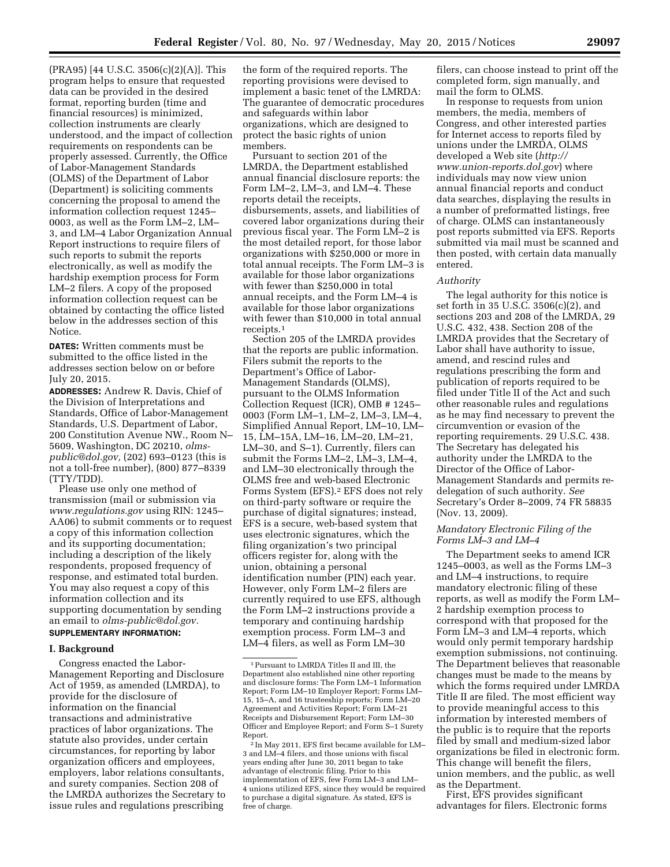(PRA95) [44 U.S.C. 3506(c)(2)(A)]. This program helps to ensure that requested data can be provided in the desired format, reporting burden (time and financial resources) is minimized, collection instruments are clearly understood, and the impact of collection requirements on respondents can be properly assessed. Currently, the Office of Labor-Management Standards (OLMS) of the Department of Labor (Department) is soliciting comments concerning the proposal to amend the information collection request 1245– 0003, as well as the Form LM–2, LM– 3, and LM–4 Labor Organization Annual Report instructions to require filers of such reports to submit the reports electronically, as well as modify the hardship exemption process for Form LM–2 filers. A copy of the proposed information collection request can be obtained by contacting the office listed below in the addresses section of this

**DATES:** Written comments must be submitted to the office listed in the addresses section below on or before July 20, 2015.

Notice.

**ADDRESSES:** Andrew R. Davis, Chief of the Division of Interpretations and Standards, Office of Labor-Management Standards, U.S. Department of Labor, 200 Constitution Avenue NW., Room N– 5609, Washington, DC 20210, *[olms](mailto:olms-public@dol.gov)[public@dol.gov,](mailto:olms-public@dol.gov)* (202) 693–0123 (this is not a toll-free number), (800) 877–8339 (TTY/TDD).

Please use only one method of transmission (mail or submission via *[www.regulations.gov](http://www.regulations.gov)* using RIN: 1245– AA06) to submit comments or to request a copy of this information collection and its supporting documentation; including a description of the likely respondents, proposed frequency of response, and estimated total burden. You may also request a copy of this information collection and its supporting documentation by sending an email to *[olms-public@dol.gov.](mailto:olms-public@dol.gov)*  **SUPPLEMENTARY INFORMATION:** 

# **I. Background**

Congress enacted the Labor-Management Reporting and Disclosure Act of 1959, as amended (LMRDA), to provide for the disclosure of information on the financial transactions and administrative practices of labor organizations. The statute also provides, under certain circumstances, for reporting by labor organization officers and employees, employers, labor relations consultants, and surety companies. Section 208 of the LMRDA authorizes the Secretary to issue rules and regulations prescribing

the form of the required reports. The reporting provisions were devised to implement a basic tenet of the LMRDA: The guarantee of democratic procedures and safeguards within labor organizations, which are designed to protect the basic rights of union members.

Pursuant to section 201 of the LMRDA, the Department established annual financial disclosure reports: the Form LM–2, LM–3, and LM–4. These reports detail the receipts, disbursements, assets, and liabilities of covered labor organizations during their previous fiscal year. The Form LM–2 is the most detailed report, for those labor organizations with \$250,000 or more in total annual receipts. The Form LM–3 is available for those labor organizations with fewer than \$250,000 in total annual receipts, and the Form LM–4 is available for those labor organizations with fewer than \$10,000 in total annual receipts.1

Section 205 of the LMRDA provides that the reports are public information. Filers submit the reports to the Department's Office of Labor-Management Standards (OLMS), pursuant to the OLMS Information Collection Request (ICR), OMB # 1245– 0003 (Form LM–1, LM–2, LM–3, LM–4, Simplified Annual Report, LM–10, LM– 15, LM–15A, LM–16, LM–20, LM–21, LM–30, and S–1). Currently, filers can submit the Forms LM–2, LM–3, LM–4, and LM–30 electronically through the OLMS free and web-based Electronic Forms System (EFS).<sup>2</sup> EFS does not rely on third-party software or require the purchase of digital signatures; instead, EFS is a secure, web-based system that uses electronic signatures, which the filing organization's two principal officers register for, along with the union, obtaining a personal identification number (PIN) each year. However, only Form LM–2 filers are currently required to use EFS, although the Form LM–2 instructions provide a temporary and continuing hardship exemption process. Form LM–3 and LM–4 filers, as well as Form LM–30

filers, can choose instead to print off the completed form, sign manually, and mail the form to OLMS.

In response to requests from union members, the media, members of Congress, and other interested parties for Internet access to reports filed by unions under the LMRDA, OLMS developed a Web site (*[http://](http://www.union-reports.dol.gov) [www.union-reports.dol.gov](http://www.union-reports.dol.gov)*) where individuals may now view union annual financial reports and conduct data searches, displaying the results in a number of preformatted listings, free of charge. OLMS can instantaneously post reports submitted via EFS. Reports submitted via mail must be scanned and then posted, with certain data manually entered.

#### *Authority*

The legal authority for this notice is set forth in 35 U.S.C. 3506(c)(2), and sections 203 and 208 of the LMRDA, 29 U.S.C. 432, 438. Section 208 of the LMRDA provides that the Secretary of Labor shall have authority to issue, amend, and rescind rules and regulations prescribing the form and publication of reports required to be filed under Title II of the Act and such other reasonable rules and regulations as he may find necessary to prevent the circumvention or evasion of the reporting requirements. 29 U.S.C. 438. The Secretary has delegated his authority under the LMRDA to the Director of the Office of Labor-Management Standards and permits redelegation of such authority. *See*  Secretary's Order 8–2009, 74 FR 58835 (Nov. 13, 2009).

# *Mandatory Electronic Filing of the Forms LM–3 and LM–4*

The Department seeks to amend ICR 1245–0003, as well as the Forms LM–3 and LM–4 instructions, to require mandatory electronic filing of these reports, as well as modify the Form LM– 2 hardship exemption process to correspond with that proposed for the Form LM–3 and LM–4 reports, which would only permit temporary hardship exemption submissions, not continuing. The Department believes that reasonable changes must be made to the means by which the forms required under LMRDA Title II are filed. The most efficient way to provide meaningful access to this information by interested members of the public is to require that the reports filed by small and medium-sized labor organizations be filed in electronic form. This change will benefit the filers, union members, and the public, as well as the Department.

First, EFS provides significant advantages for filers. Electronic forms

<sup>1</sup>Pursuant to LMRDA Titles II and III, the Department also established nine other reporting and disclosure forms: The Form LM–1 Information Report; Form LM–10 Employer Report; Forms LM– 15, 15–A, and 16 trusteeship reports; Form LM–20 Agreement and Activities Report; Form LM–21 Receipts and Disbursement Report; Form LM–30 Officer and Employee Report; and Form S–1 Surety Report.

<sup>2</sup> In May 2011, EFS first became available for LM– 3 and LM–4 filers, and those unions with fiscal years ending after June 30, 2011 began to take advantage of electronic filing. Prior to this implementation of EFS, few Form LM–3 and LM– 4 unions utilized EFS, since they would be required to purchase a digital signature. As stated, EFS is free of charge.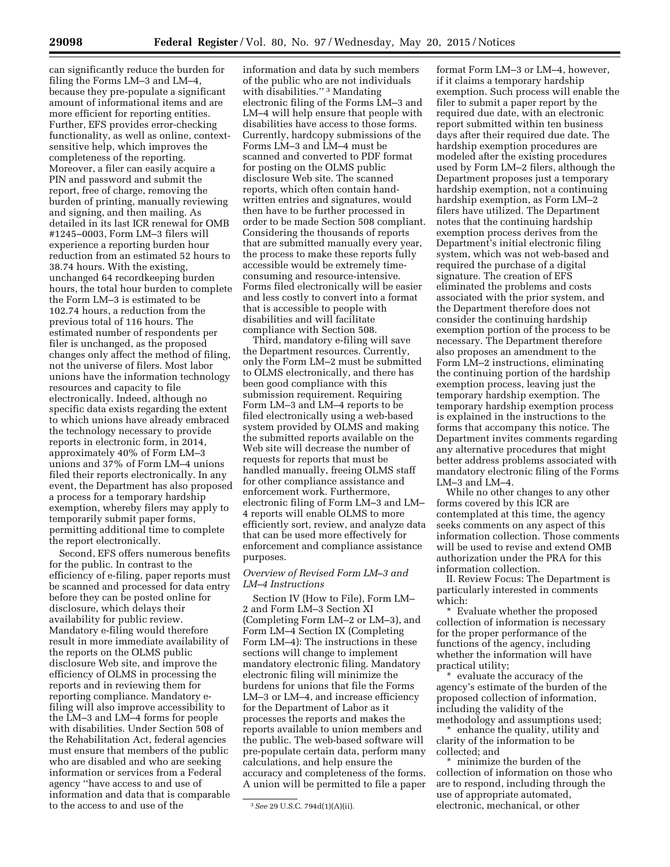can significantly reduce the burden for filing the Forms LM–3 and LM–4, because they pre-populate a significant amount of informational items and are more efficient for reporting entities. Further, EFS provides error-checking functionality, as well as online, contextsensitive help, which improves the completeness of the reporting. Moreover, a filer can easily acquire a PIN and password and submit the report, free of charge, removing the burden of printing, manually reviewing and signing, and then mailing. As detailed in its last ICR renewal for OMB #1245–0003, Form LM–3 filers will experience a reporting burden hour reduction from an estimated 52 hours to 38.74 hours. With the existing, unchanged 64 recordkeeping burden hours, the total hour burden to complete the Form LM–3 is estimated to be 102.74 hours, a reduction from the previous total of 116 hours. The estimated number of respondents per filer is unchanged, as the proposed changes only affect the method of filing, not the universe of filers. Most labor unions have the information technology resources and capacity to file electronically. Indeed, although no specific data exists regarding the extent to which unions have already embraced the technology necessary to provide reports in electronic form, in 2014, approximately 40% of Form LM–3 unions and 37% of Form LM–4 unions filed their reports electronically. In any event, the Department has also proposed a process for a temporary hardship exemption, whereby filers may apply to temporarily submit paper forms, permitting additional time to complete the report electronically.

Second, EFS offers numerous benefits for the public. In contrast to the efficiency of e-filing, paper reports must be scanned and processed for data entry before they can be posted online for disclosure, which delays their availability for public review. Mandatory e-filing would therefore result in more immediate availability of the reports on the OLMS public disclosure Web site, and improve the efficiency of OLMS in processing the reports and in reviewing them for reporting compliance. Mandatory efiling will also improve accessibility to the LM–3 and LM–4 forms for people with disabilities. Under Section 508 of the Rehabilitation Act, federal agencies must ensure that members of the public who are disabled and who are seeking information or services from a Federal agency ''have access to and use of information and data that is comparable to the access to and use of the

information and data by such members of the public who are not individuals with disabilities."<sup>3</sup> Mandating electronic filing of the Forms LM–3 and LM–4 will help ensure that people with disabilities have access to those forms. Currently, hardcopy submissions of the Forms LM–3 and LM–4 must be scanned and converted to PDF format for posting on the OLMS public disclosure Web site. The scanned reports, which often contain handwritten entries and signatures, would then have to be further processed in order to be made Section 508 compliant. Considering the thousands of reports that are submitted manually every year, the process to make these reports fully accessible would be extremely timeconsuming and resource-intensive. Forms filed electronically will be easier and less costly to convert into a format that is accessible to people with disabilities and will facilitate compliance with Section 508.

Third, mandatory e-filing will save the Department resources. Currently, only the Form LM–2 must be submitted to OLMS electronically, and there has been good compliance with this submission requirement. Requiring Form LM–3 and LM–4 reports to be filed electronically using a web-based system provided by OLMS and making the submitted reports available on the Web site will decrease the number of requests for reports that must be handled manually, freeing OLMS staff for other compliance assistance and enforcement work. Furthermore, electronic filing of Form LM–3 and LM– 4 reports will enable OLMS to more efficiently sort, review, and analyze data that can be used more effectively for enforcement and compliance assistance purposes.

## *Overview of Revised Form LM–3 and LM–4 Instructions*

Section IV (How to File), Form LM– 2 and Form LM–3 Section XI (Completing Form LM–2 or LM–3), and Form LM–4 Section IX (Completing Form LM–4): The instructions in these sections will change to implement mandatory electronic filing. Mandatory electronic filing will minimize the burdens for unions that file the Forms LM–3 or LM–4, and increase efficiency for the Department of Labor as it processes the reports and makes the reports available to union members and the public. The web-based software will pre-populate certain data, perform many calculations, and help ensure the accuracy and completeness of the forms. A union will be permitted to file a paper

format Form LM–3 or LM–4, however, if it claims a temporary hardship exemption. Such process will enable the filer to submit a paper report by the required due date, with an electronic report submitted within ten business days after their required due date. The hardship exemption procedures are modeled after the existing procedures used by Form LM–2 filers, although the Department proposes just a temporary hardship exemption, not a continuing hardship exemption, as Form LM–2 filers have utilized. The Department notes that the continuing hardship exemption process derives from the Department's initial electronic filing system, which was not web-based and required the purchase of a digital signature. The creation of EFS eliminated the problems and costs associated with the prior system, and the Department therefore does not consider the continuing hardship exemption portion of the process to be necessary. The Department therefore also proposes an amendment to the Form LM–2 instructions, eliminating the continuing portion of the hardship exemption process, leaving just the temporary hardship exemption. The temporary hardship exemption process is explained in the instructions to the forms that accompany this notice. The Department invites comments regarding any alternative procedures that might better address problems associated with mandatory electronic filing of the Forms LM–3 and LM–4.

While no other changes to any other forms covered by this ICR are contemplated at this time, the agency seeks comments on any aspect of this information collection. Those comments will be used to revise and extend OMB authorization under the PRA for this information collection.

II. Review Focus: The Department is particularly interested in comments which:

\* Evaluate whether the proposed collection of information is necessary for the proper performance of the functions of the agency, including whether the information will have practical utility;

\* evaluate the accuracy of the agency's estimate of the burden of the proposed collection of information, including the validity of the methodology and assumptions used;

\* enhance the quality, utility and clarity of the information to be collected; and

\* minimize the burden of the collection of information on those who are to respond, including through the use of appropriate automated, electronic, mechanical, or other

<sup>3</sup>*See* 29 U.S.C. 794d(1)(A)(ii).